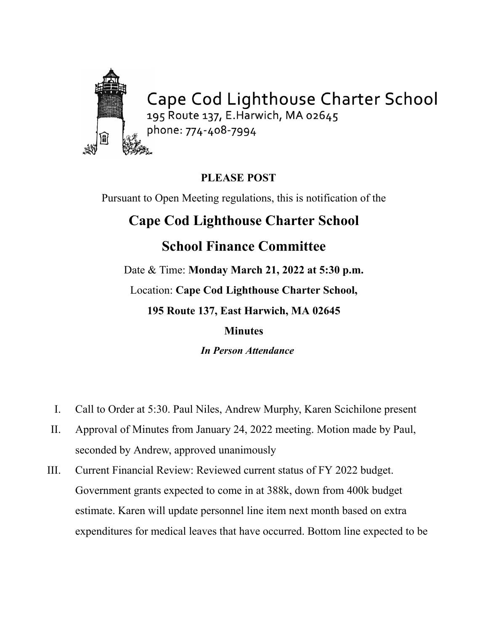

## **PLEASE POST**

Pursuant to Open Meeting regulations, this is notification of the

## **Cape Cod Lighthouse Charter School**

## **School Finance Committee**

Date & Time: **Monday March 21, 2022 at 5:30 p.m.** Location: **Cape Cod Lighthouse Charter School, 195 Route 137, East Harwich, MA 02645**

## **Minutes**

*In Person Attendance*

- I. Call to Order at 5:30. Paul Niles, Andrew Murphy, Karen Scichilone present
- II. Approval of Minutes from January 24, 2022 meeting. Motion made by Paul, seconded by Andrew, approved unanimously
- III. Current Financial Review: Reviewed current status of FY 2022 budget. Government grants expected to come in at 388k, down from 400k budget estimate. Karen will update personnel line item next month based on extra expenditures for medical leaves that have occurred. Bottom line expected to be